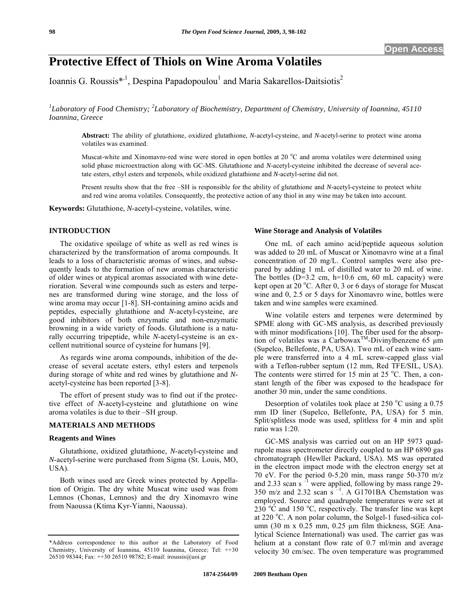# **Protective Effect of Thiols on Wine Aroma Volatiles**

Ioannis G. Roussis\*<sup>,1</sup>, Despina Papadopoulou<sup>1</sup> and Maria Sakarellos-Daitsiotis<sup>2</sup>

<sup>1</sup>Laboratory of Food Chemistry; <sup>2</sup>Laboratory of Biochemistry, Department of Chemistry, University of Ioannina, 45110 *Ioannina, Greece* 

**Abstract:** The ability of glutathione, oxidized glutathione, *N*-acetyl-cysteine, and *N*-acetyl-serine to protect wine aroma volatiles was examined.

Muscat-white and Xinomavro-red wine were stored in open bottles at 20  $^{\circ}$ C and aroma volatiles were determined using solid phase microextraction along with GC-MS. Glutathione and *N*-acetyl-cysteine inhibited the decrease of several acetate esters, ethyl esters and terpenols, while oxidized glutathione and *N*-acetyl-serine did not.

Present results show that the free –SH is responsible for the ability of glutathione and *N*-acetyl-cysteine to protect white and red wine aroma volatiles. Consequently, the protective action of any thiol in any wine may be taken into account.

**Keywords:** Glutathione, *N*-acetyl-cysteine, volatiles, wine.

## **INTRODUCTION**

The oxidative spoilage of white as well as red wines is characterized by the transformation of aroma compounds. It leads to a loss of characteristic aromas of wines, and subsequently leads to the formation of new aromas characteristic of older wines or atypical aromas associated with wine deterioration. Several wine compounds such as esters and terpenes are transformed during wine storage, and the loss of wine aroma may occur [1-8]. SH-containing amino acids and peptides, especially glutathione and *N*-acetyl-cysteine, are good inhibitors of both enzymatic and non-enzymatic browning in a wide variety of foods. Glutathione is a naturally occurring tripeptide, while *N*-acetyl-cysteine is an excellent nutritional source of cysteine for humans [9].

As regards wine aroma compounds, inhibition of the decrease of several acetate esters, ethyl esters and terpenols during storage of white and red wines by glutathione and *N*acetyl-cysteine has been reported [3-8].

The effort of present study was to find out if the protective effect of *N*-acetyl-cysteine and glutathione on wine aroma volatiles is due to their –SH group.

#### **MATERIALS AND METHODS**

#### **Reagents and Wines**

Glutathione, oxidized glutathione, *N*-acetyl-cysteine and *N*-acetyl-serine were purchased from Sigma (St. Louis, MO, USA).

Both wines used are Greek wines protected by Appellation of Origin. The dry white Muscat wine used was from Lemnos (Chonas, Lemnos) and the dry Xinomavro wine from Naoussa (Ktima Kyr-Yianni, Naoussa).

#### **Wine Storage and Analysis of Volatiles**

One mL of each amino acid/peptide aqueous solution was added to 20 mL of Muscat or Xinomavro wine at a final concentration of 20 mg/L. Control samples were also prepared by adding 1 mL of distilled water to 20 mL of wine. The bottles  $(D=3.2 \text{ cm}, h=10.6 \text{ cm}, 60 \text{ mL capacity})$  were kept open at  $20^{\circ}$ C. After 0, 3 or 6 days of storage for Muscat wine and 0, 2.5 or 5 days for Xinomavro wine, bottles were taken and wine samples were examined.

Wine volatile esters and terpenes were determined by SPME along with GC-MS analysis, as described previously with minor modifications [10]. The fiber used for the absorption of volatiles was a Carbowax<sup>TM</sup>-Divinylbenzene 65  $\mu$ m (Supelco, Bellefonte, PA, USA). Two mL of each wine sample were transferred into a 4 mL screw-capped glass vial with a Teflon-rubber septum (12 mm, Red TFE/SIL, USA). The contents were stirred for  $15$  min at  $25$  °C. Then, a constant length of the fiber was exposed to the headspace for another 30 min, under the same conditions.

Desorption of volatiles took place at  $250^{\circ}$ C using a 0.75 mm ID liner (Supelco, Bellefonte, PA, USA) for 5 min. Split/splitless mode was used, splitless for 4 min and split ratio was 1:20.

GC-MS analysis was carried out on an HP 5973 quadrupole mass spectrometer directly coupled to an HP 6890 gas chromatograph (Hewllet Packard, USA). MS was operated in the electron impact mode with the electron energy set at 70 eV. For the period 0-5.20 min, mass range 50-370 m/z and 2.33 scan s $^{-1}$  were applied, following by mass range 29-350 m/z and 2.32 scan  $\sin^{-1}$ . A G1701BA Chemstation was employed. Source and quadrupole temperatures were set at  $230\text{ °C}$  and 150 °C, respectively. The transfer line was kept at 220 °C. A non polar column, the Solgel-1 fused-silica column (30 m x 0.25 mm, 0.25 μm film thickness, SGE Analytical Science International) was used. The carrier gas was helium at a constant flow rate of 0.7 ml/min and average velocity 30 cm/sec. The oven temperature was programmed

<sup>\*</sup>Address correspondence to this author at the Laboratory of Food Chemistry, University of Ioannina, 45110 Ioannina, Greece; Tel: ++30 26510 98344; Fax: ++30 26510 98782; E-mail: iroussis@uoi.gr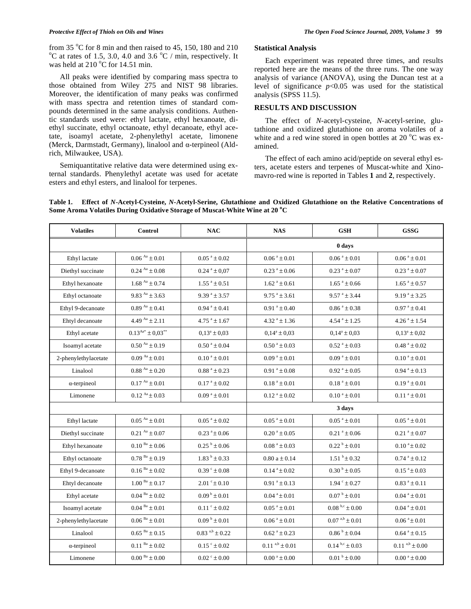from 35 °C for 8 min and then raised to 45, 150, 180 and 210 °C at rates of  $1.5 \div 2.0$ , 4.0 and  $2.6$  °C (min respectively. It C at rates of 1.5, 3.0, 4.0 and 3.6  $^{\circ}$ C / min, respectively. It was held at  $210\text{ °C}$  for 14.51 min.

All peaks were identified by comparing mass spectra to those obtained from Wiley 275 and NIST 98 libraries. Moreover, the identification of many peaks was confirmed with mass spectra and retention times of standard compounds determined in the same analysis conditions. Authentic standards used were: ethyl lactate, ethyl hexanoate, diethyl succinate, ethyl octanoate, ethyl decanoate, ethyl acetate, isoamyl acetate, 2-phenylethyl acetate, limonene (Merck, Darmstadt, Germany), linalool and  $\alpha$ -terpineol (Aldrich, Milwaukee, USA).

Semiquantitative relative data were determined using external standards. Phenylethyl acetate was used for acetate esters and ethyl esters, and linalool for terpenes.

## **Statistical Analysis**

Each experiment was repeated three times, and results reported here are the means of the three runs. The one way analysis of variance (ANOVA), using the Duncan test at a level of significance *p*<0.05 was used for the statistical analysis (SPSS 11.5).

### **RESULTS AND DISCUSSION**

The effect of *N*-acetyl-cysteine, *N*-acetyl-serine, glutathione and oxidized glutathione on aroma volatiles of a white and a red wine stored in open bottles at 20 $\,^{\circ}$ C was examined.

The effect of each amino acid/peptide on several ethyl esters, acetate esters and terpenes of Muscat-white and Xinomavro-red wine is reported in Tables **1** and **2**, respectively.

| Table 1. Effect of N-Acetyl-Cysteine, N-Acetyl-Serine, Glutathione and Oxidized Glutathione on the Relative Concentrations of |  |
|-------------------------------------------------------------------------------------------------------------------------------|--|
| Some Aroma Volatiles During Oxidative Storage of Muscat-White Wine at 20 °C                                                   |  |

| <b>Volatiles</b>     | <b>Control</b>                       | NAC                          | <b>NAS</b>                            | <b>GSH</b>                     | <b>GSSG</b>                           |  |
|----------------------|--------------------------------------|------------------------------|---------------------------------------|--------------------------------|---------------------------------------|--|
|                      |                                      |                              | 0 days                                |                                |                                       |  |
| Ethyl lactate        | $0.06^{Aa} \pm 0.01$                 | $0.05^{\text{ a}} \pm 0.02$  | $0.06^{\text{ a}} \pm 0.01$           | $0.06^{\text{ a}} \pm 0.01$    | $0.06^{\text{ a}} \pm 0.01$           |  |
| Diethyl succinate    | $0.24^{Aa} \pm 0.08$                 | $0.24^{\text{a}} \pm 0.07$   | $0.23^{\text{a}} \pm 0.06$            | $0.23^{\text{a}} \pm 0.07$     | $0.23^{\text{a}} \pm 0.07$            |  |
| Ethyl hexanoate      | $1.68^{Aa} \pm 0.74$                 | $1.55^{\text{a}} \pm 0.51$   | $1.62^{\text{a}} \pm 0.61$            | $1.65$ <sup>a</sup> ± 0.66     | $1.65$ <sup>a</sup> $\pm$ 0.57        |  |
| Ethyl octanoate      | 9.83 $^{Aa}$ ± 3.63                  | $9.39^{\text{ a}} \pm 3.57$  | $9.75^{\text{a}} \pm 3.61$            | $9.57^{\circ} \pm 3.44$        | $9.19^{\text{a}} \pm 3.25$            |  |
| Ethyl 9-decanoate    | $0.89^{Aa} \pm 0.41$                 | $0.94$ <sup>a</sup> ± 0.41   | $0.91^a \pm 0.40$                     | $0.86^{\text{ a}} \pm 0.38$    | $0.97^{\text{ a}} \pm 0.41$           |  |
| Ehtyl decanoate      | 4.49 $^{Aa}$ ± 2.11                  | $4.75$ <sup>a</sup> ± 1.67   | $4.32^{\text{a}} \pm 1.36$            | $4.54^{\text{a}} \pm 1.25$     | $4.26^{\text{a}} \pm 1.54$            |  |
| Ethyl acetate        | $0.13^{Aa^*} \pm 0.03^{**}$          | $0.13^a \pm 0.03$            | $0.14^a \pm 0.03$                     | $0.14^a \pm 0.03$              | $0.13^a \pm 0.02$                     |  |
| Isoamyl acetate      | $0.50^{Aa} \pm 0.19$                 | $0.50^{\mathrm{a}} \pm 0.04$ | $0.50^{\text{ a}} \pm 0.03$           | $0.52$ <sup>a</sup> ± 0.03     | $0.48^{\text{ a}} \pm 0.02$           |  |
| 2-phenylethylacetate | $0.09^{Aa} \pm 0.01$                 | $0.10^a \pm 0.01$            | $0.09^{\text{ a}} \pm 0.01$           | $0.09^{\text{ a}} \pm 0.01$    | $0.10^a \pm 0.01$                     |  |
| Linalool             | $0.88$ $^{\rm{Aa}}$ $\pm$ $0.20$     | $0.88^{\text{ a}} \pm 0.23$  | $0.91^a \pm 0.08$                     | $0.92$ <sup>a</sup> ± 0.05     | $0.94$ <sup>a</sup> $\pm$ 0.13        |  |
| $\alpha$ -terpineol  | $0.17^{Aa} \pm 0.01$                 | $0.17^{\text{ a}} \pm 0.02$  | $0.18^a \pm 0.01$                     | $0.18^a \pm 0.01$              | $0.19^{\text{ a}} \pm 0.01$           |  |
| Limonene             | $0.12^{Aa} \pm 0.03$                 | $0.09^{\text{ a}} \pm 0.01$  | $0.12^{\text{a}} \pm 0.02$            | $0.10^{a} \pm 0.01$            | $0.11^a \pm 0.01$                     |  |
|                      |                                      |                              | 3 days                                |                                |                                       |  |
| Ethyl lactate        | $0.05^{Aa} \pm 0.01$                 | $0.05^{\text{ a}} \pm 0.02$  | $0.05^{\text{ a}} \pm 0.01$           | $0.05^{\text{ a}} \pm 0.01$    | $0.05^{\text{ a}} \pm 0.01$           |  |
| Diethyl succinate    | $0.21^{Aa} \pm 0.07$                 | $0.23^{\text{a}} \pm 0.06$   | $0.20^{\text{ a}} \pm 0.05$           | $0.21^a \pm 0.06$              | $0.21^a \pm 0.07$                     |  |
| Ethyl hexanoate      | $0.10$ $^{\text{Ba}}$ $\pm$ $0.06$   | $0.25^{\mathrm{b}} \pm 0.06$ | $0.08^{\text{ a}} \pm 0.03$           | $0.22^{\text{ b}} \pm 0.01$    | $0.10$ $\mathrm{^a} \pm 0.02$         |  |
| Ethyl octanoate      | $0.78^{Ba} \pm 0.19$                 | $1.83^{b} \pm 0.33$          | $0.80 a \pm 0.14$                     | $1.51\,{}^{\rm b}\!\pm\!0.32$  | $0.74^{\text{a}} \pm 0.12$            |  |
| Ethyl 9-decanoate    | $0.16^{Ba} \pm 0.02$                 | $0.39^{\circ} \pm 0.08$      | $0.14^{\text{a}} \pm 0.02$            | $0.30^{b} \pm 0.05$            | $0.15^{\text{a}} \pm 0.03$            |  |
| Ehtyl decanoate      | $1.00^{Ba} \pm 0.17$                 | $2.01^{\circ} \pm 0.10$      | $0.91^a \pm 0.13$                     | $1.94^{\circ} \pm 0.27$        | $0.83^a \pm 0.11$                     |  |
| Ethyl acetate        | $0.04$ $^{\mathrm{Ba}}$ $\pm$ $0.02$ | $0.09^{\mathrm{b}} \pm 0.01$ | $0.04^a \pm 0.01$                     | $0.07^{\mathrm{b}} \pm 0.01$   | $0.04^{\text{a}} \pm 0.01$            |  |
| Isoamyl acetate      | $0.04$ $^{\mathrm{Ba}}$ $\pm$ $0.01$ | $0.11^{\circ} \pm 0.02$      | $0.05^{\text{ a}} \pm 0.01$           | $0.08^{b,c} \pm 0.00$          | $0.04^a \pm 0.01$                     |  |
| 2-phenylethylacetate | $0.06^{Ba} \pm 0.01$                 | $0.09^{\mathrm{b}} \pm 0.01$ | $0.06^{\text{ a}} \pm 0.01$           | $0.07^{a,b} \pm 0.01$          | $0.06^{\text{ a}} \pm 0.01$           |  |
| Linalool             | $0.65~^{\text{Ba}}\pm0.15$           | $0.83^{a,b} \pm 0.22$        | $0.62$ <sup>a</sup> ± 0.23            | $0.86$ $^{\rm b}$ $\pm$ $0.04$ | $0.64$ <sup>a</sup> $\pm 0.15$        |  |
| $\alpha$ -terpineol  | $0.11$ $^{\mathrm{Ba}}$ $\pm$ $0.02$ | $0.15^{\circ} \pm 0.02$      | $0.11^{a,b} \pm 0.01$                 | $0.14^{b,c} \pm 0.03$          | $0.11^{a,b} \pm 0.00$                 |  |
| Limonene             | $0.00^{Ba} \pm 0.00$                 | $0.02^{\circ} \pm 0.00$      | $0.00^{\text{ a}} \pm 0.00^{\text{}}$ | $0.01^{b} \pm 0.00$            | $0.00^{\text{ a}} \pm 0.00^{\text{}}$ |  |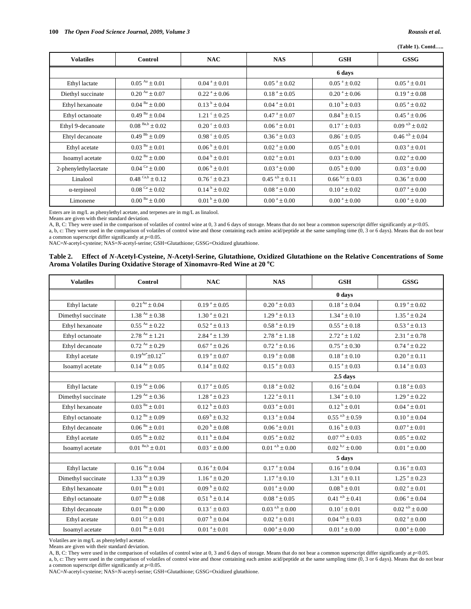(Table 1). Contd.....

| <b>Volatiles</b>     | Control                         | <b>NAC</b>                   | <b>NAS</b>                            | <b>GSH</b>                            | <b>GSSG</b>                           |
|----------------------|---------------------------------|------------------------------|---------------------------------------|---------------------------------------|---------------------------------------|
|                      |                                 |                              | 6 days                                |                                       |                                       |
| Ethyl lactate        | $0.05^{Aa} \pm 0.01$            | $0.04^{\text{ a}} \pm 0.01$  | $0.05^{\text{a}} \pm 0.02$            | $0.05^{\text{a}} \pm 0.02$            | $0.05^{\text{ a}} \pm 0.01$           |
| Diethyl succinate    | $0.20^{Aa} \pm 0.07$            | $0.22^{\text{a}} \pm 0.06$   | $0.18^{a} \pm 0.05$                   | $0.20^{\text{ a}} \pm 0.06$           | $0.19^{\text{ a}} \pm 0.08$           |
| Ethyl hexanoate      | $0.04^{Ba} \pm 0.00$            | $0.13^{b} \pm 0.04$          | $0.04^{\text{ a}} \pm 0.01$           | $0.10^{b} \pm 0.03$                   | $0.05^{\text{ a}} \pm 0.02$           |
| Ethyl octanoate      | $0.49^{Ba} \pm 0.04$            | $1.21^{\circ} \pm 0.25$      | $0.47^{\text{ a}} \pm 0.07$           | $0.84^{b} \pm 0.15$                   | $0.45^{\text{ a}} \pm 0.06$           |
| Ethyl 9-decanoate    | $0.08^{Ba,b} \pm 0.02$          | $0.20^{\circ} \pm 0.03$      | $0.06^{\text{ a}} \pm 0.01$           | $0.17^{\circ} \pm 0.03$               | $0.09^{a,b} \pm 0.02$                 |
| Ehtyl decanoate      | $0.49^{Bb} \pm 0.09$            | $0.98^{\circ} \pm 0.05$      | $0.36^{\text{ a}} \pm 0.03$           | $0.86^{\circ} \pm 0.05$               | $0.46^{a,b} \pm 0.04$                 |
| Ethyl acetate        | $0.03^{Ba} \pm 0.01$            | $0.06^{\mathrm{b}} \pm 0.01$ | $0.02^{\text{ a}} \pm 0.00$           | $0.05^{b} \pm 0.01$                   | $0.03^{\text{ a}} \pm 0.01$           |
| Isoamyl acetate      | $0.02^{Ba} \pm 0.00$            | $0.04^{\mathrm{b}} \pm 0.01$ | $0.02^{\text{a}} \pm 0.01$            | $0.03^{\text{a}} \pm 0.00$            | $0.02^{\text{a}} \pm 0.00$            |
| 2-phenylethylacetate | $0.04$ <sup>Ca</sup> $\pm$ 0.00 | $0.06^{\mathrm{b}} \pm 0.01$ | $0.03^{\text{a}} \pm 0.00$            | $0.05^{\mathrm{b}} \pm 0.00$          | $0.03^{\text{ a}} \pm 0.00$           |
| Linalool             | $0.48 Ca,b \pm 0.12$            | $0.76^{\circ} \pm 0.23$      | $0.45^{a,b} \pm 0.11$                 | $0.66^{b,c} \pm 0.03$                 | $0.36^{\text{ a}} \pm 0.00$           |
| $\alpha$ -terpineol  | $0.08Ca \pm 0.02$               | $0.14^{b} \pm 0.02$          | $0.08^{\text{ a}} \pm 0.00$           | $0.10^{\text{a}} \pm 0.02$            | $0.07^{\text{ a}} \pm 0.00$           |
| Limonene             | $0.00^{Ba} \pm 0.00$            | $0.01^{\mathrm{b}} \pm 0.00$ | $0.00^{\text{ a}} \pm 0.00^{\text{}}$ | $0.00^{\text{ a}} \pm 0.00^{\text{}}$ | $0.00^{\text{ a}} \pm 0.00^{\text{}}$ |

Esters are in mg/L as phenylethyl acetate, and terpenes are in mg/L as linalool.

Means are given with their standard deviation.

A, B, C: They were used in the comparison of volatiles of control wine at 0, 3 and 6 days of storage. Means that do not bear a common superscript differ significantly at p<0.05.

a, b, c: They were used in the comparison of volatiles of control wine and those containing each amino acid/peptide at the same sampling time (0, 3 or 6 days). Means that do not bear a common superscript differ significantly at  $p<0.05$ .

NAC=N-acetyl-cysteine; NAS=N-acetyl-serine; GSH=Glutathione; GSSG=Oxidized glutathione.

| Table 2. Effect of N-Acetyl-Cysteine, N-Acetyl-Serine, Glutathione, Oxidized Glutathione on the Relative Concentrations of Some |
|---------------------------------------------------------------------------------------------------------------------------------|
| Aroma Volatiles During Oxidative Storage of Xinomavro-Red Wine at 20 °C                                                         |

| <b>Volatiles</b>   | Control                         | <b>NAC</b>                   | <b>NAS</b>                  | <b>GSH</b>                            | <b>GSSG</b>                    |  |
|--------------------|---------------------------------|------------------------------|-----------------------------|---------------------------------------|--------------------------------|--|
|                    |                                 |                              | 0 days                      |                                       |                                |  |
| Ethyl lactate      | $0.21^{Aa} \pm 0.04$            | $0.19^{\text{a}} \pm 0.05$   | $0.20^{\text{a}} \pm 0.03$  | $0.18$ $^{\rm a} \pm 0.04$            | $0.19^{\text{a}} \pm 0.02$     |  |
| Dimethyl succinate | $1.38$ Aa $\pm 0.38$            | $1.30^a \pm 0.21$            | $1.29^{\text{a}} \pm 0.13$  | $1.34$ <sup>a</sup> ± 0.10            | $1.35$ <sup>a</sup> $\pm$ 0.24 |  |
| Ethyl hexanoate    | $0.55^{Aa} \pm 0.22$            | $0.52^{\text{a}} \pm 0.13$   | $0.58^{\text{a}} \pm 0.19$  | $0.55^{\text{a}} \pm 0.18$            | $0.53^{\text{a}} \pm 0.13$     |  |
| Ethyl octanoate    | $2.78^{Aa} \pm 1.21$            | $2.84^{\text{a}} \pm 1.39$   | $2.78^{\text{a}} \pm 1.18$  | $2.72$ <sup>a</sup> ± 1.02            | $2.31^a \pm 0.78$              |  |
| Ethyl decanoate    | $0.72^{Aa} \pm 0.29$            | $0.67^{\text{ a}} \pm 0.26$  | $0.72^{\text{a}} \pm 0.16$  | $0.75^{\text{a}} \pm 0.30^{\text{c}}$ | $0.74^{\text{a}} \pm 0.22$     |  |
| Ethyl acetate      | $0.19^{Aa*} \pm 0.12^{**}$      | $0.19^{\text{a}} \pm 0.07$   | $0.19^{\text{ a}} \pm 0.08$ | $0.18^{a} \pm 0.10$                   | $0.20^{\text{a}} \pm 0.11$     |  |
| Isoamyl acetate    | $0.14^{Aa} \pm 0.05$            | $0.14^{\text{a}} \pm 0.02$   | $0.15^{\text{a}} \pm 0.03$  | $0.15^{\text{a}} \pm 0.03$            | $0.14^{\text{a}} \pm 0.03$     |  |
|                    |                                 |                              |                             | 2.5 days                              |                                |  |
| Ethyl lactate      | $0.19^{Aa} \pm 0.06$            | $0.17^{\text{ a}} \pm 0.05$  | $0.18^{a} \pm 0.02$         | $0.16^{\text{a}} \pm 0.04$            | $0.18^{a} \pm 0.03$            |  |
| Dimethyl succinate | $1.29$ <sup>Aa</sup> $\pm$ 0.36 | $1.28^{\text{a}} \pm 0.23$   | $1.22^{\text{a}} \pm 0.11$  | $1.34^{\text{a}} \pm 0.10$            | $1.29^{\text{a}} \pm 0.22$     |  |
| Ethyl hexanoate    | $0.03^{Ba} \pm 0.01$            | $0.12^{b} \pm 0.03$          | $0.03^{\text{ a}} \pm 0.01$ | $0.12^{b} \pm 0.01$                   | $0.04^a \pm 0.01$              |  |
| Ethyl octanoate    | $0.12^{Ba} \pm 0.09$            | $0.69^{\mathrm{b}} \pm 0.32$ | $0.13^{a} \pm 0.04$         | $0.55^{a,b} \pm 0.59$                 | $0.10^a \pm 0.04$              |  |
| Ethyl decanoate    | $0.06^{Ba} \pm 0.01$            | $0.20^{b} \pm 0.08$          | $0.06^{\text{ a}} \pm 0.01$ | $0.16^{b} \pm 0.03$                   | $0.07^{\text{ a}} \pm 0.01$    |  |
| Ethyl acetate      | $0.05^{Ba} \pm 0.02$            | $0.11^{b} \pm 0.04$          | $0.05^{\text{ a}} \pm 0.02$ | $0.07^{a,b} \pm 0.03$                 | $0.05^{\text{a}} \pm 0.02$     |  |
| Isoamyl acetate    | $0.01^{Ba,b} \pm 0.01$          | $0.03^{\circ} \pm 0.00$      | $0.01^{a,b} \pm 0.00$       | $0.02^{b,c} \pm 0.00$                 | $0.01$ <sup>a</sup> ± 0.00     |  |
|                    |                                 |                              | 5 days                      |                                       |                                |  |
| Ethyl lactate      | $0.16^{Aa} \pm 0.04$            | $0.16^a \pm 0.04$            | $0.17^{\text{a}} \pm 0.04$  | $0.16^a \pm 0.04$                     | $0.16^a \pm 0.03$              |  |
| Dimethyl succinate | $1.33$ <sup>Aa</sup> $\pm$ 0.39 | $1.16^a \pm 0.20$            | $1.17^{\text{a}} \pm 0.10$  | $1.31^a \pm 0.11$                     | $1.25^{\text{a}} \pm 0.23$     |  |
| Ethyl hexanoate    | $0.01^{Ba} \pm 0.01$            | $0.09^{b} \pm 0.02$          | $0.01^a \pm 0.00$           | $0.08^{b} \pm 0.01$                   | $0.02^{\text{a}} \pm 0.01$     |  |
| Ethyl octanoate    | $0.07^{Ba} \pm 0.08$            | $0.51^{b} \pm 0.14$          | $0.08^{\text{ a}} \pm 0.05$ | $0.41$ $\mathrm{^{a,b}\pm0.41}$       | $0.06^{\text{ a}} \pm 0.04$    |  |
| Ethyl decanoate    | $0.01^{Ba} \pm 0.00$            | $0.13^{\circ} \pm 0.03$      | $0.03^{a,b} \pm 0.00$       | $0.10^{\circ} \pm 0.01$               | $0.02^{a,b} \pm 0.00$          |  |
| Ethyl acetate      | $0.01$ <sup>Ca</sup> $\pm$ 0.01 | $0.07^{\mathrm{b}} \pm 0.04$ | $0.02$ $^{\rm a} \pm 0.01$  | $0.04^{a,b} \pm 0.03$                 | $0.02$ $^{\rm a} \pm 0.00$     |  |
| Isoamyl acetate    | $0.01^{Ba} \pm 0.01$            | $0.01a \pm 0.01$             | $0.00^{\text{ a}} \pm 0.00$ | $0.01$ <sup>a</sup> ± 0.00            | $0.00^{\text{ a}} \pm 0.00$    |  |

Volatiles are in mg/L as phenylethyl acetate.

Means are given with their standard deviation.

A, B, C: They were used in the comparison of volatiles of control wine at 0, 3 and 6 days of storage. Means that do not bear a common superscript differ significantly at  $p<0.05$ .<br>a, b, c: They were used in the comparison a common superscript differ significantly at  $p<0.05$ .

NAC=N-acetyl-cysteine; NAS=N-acetyl-serine; GSH=Glutathione; GSSG=Oxidized glutathione.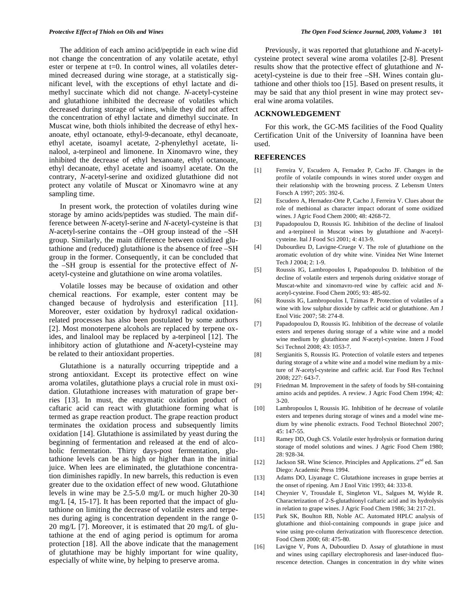The addition of each amino acid/peptide in each wine did not change the concentration of any volatile acetate, ethyl ester or terpene at t=0. In control wines, all volatiles determined decreased during wine storage, at a statistically significant level, with the exceptions of ethyl lactate and dimethyl succinate which did not change. *N*-acetyl-cysteine and glutathione inhibited the decrease of volatiles which decreased during storage of wines, while they did not affect the concentration of ethyl lactate and dimethyl succinate. In Muscat wine, both thiols inhibited the decrease of ethyl hexanoate, ethyl octanoate, ethyl-9-decanoate, ethyl decanoate, ethyl acetate, isoamyl acetate, 2-phenylethyl acetate, linalool, a-terpineol and limonene. In Xinomavro wine, they inhibited the decrease of ethyl hexanoate, ethyl octanoate, ethyl decanoate, ethyl acetate and isoamyl acetate. On the contrary, *N*-acetyl-serine and oxidized glutathione did not protect any volatile of Muscat or Xinomavro wine at any sampling time.

In present work, the protection of volatiles during wine storage by amino acids/peptides was studied. The main difference between *N*-acetyl-serine and *N*-acetyl-cysteine is that *N*-acetyl-serine contains the –OH group instead of the –SH group. Similarly, the main difference between oxidized glutathione and (reduced) glutathione is the absence of free –SH group in the former. Consequently, it can be concluded that the –SH group is essential for the protective effect of *N*acetyl-cysteine and glutathione on wine aroma volatiles.

Volatile losses may be because of oxidation and other chemical reactions. For example, ester content may be changed because of hydrolysis and esterification [11]. Moreover, ester oxidation by hydroxyl radical oxidationrelated processes has also been postulated by some authors [2]. Most monoterpene alcohols are replaced by terpene oxides, and linalool may be replaced by a-terpineol [12]. The inhibitory action of glutathione and *N*-acetyl-cysteine may be related to their antioxidant properties.

Glutathione is a naturally occurring tripeptide and a strong antioxidant. Except its protective effect on wine aroma volatiles, glutathione plays a crucial role in must oxidation. Glutathione increases with maturation of grape berries [13]. In must, the enzymatic oxidation product of caftaric acid can react with glutathione forming what is termed as grape reaction product. The grape reaction product terminates the oxidation process and subsequently limits oxidation [14]. Glutathione is assimilated by yeast during the beginning of fermentation and released at the end of alcoholic fermentation. Thirty days-post fermentation, glutathione levels can be as high or higher than in the initial juice. When lees are eliminated, the glutathione concentration diminishes rapidly. In new barrels, this reduction is even greater due to the oxidation effect of new wood. Glutathione levels in wine may be 2.5-5.0 mg/L or much higher 20-30 mg/L [4, 15-17]. It has been reported that the impact of glutathione on limiting the decrease of volatile esters and terpenes during aging is concentration dependent in the range 0- 20 mg/L [7]. Moreover, it is estimated that 20 mg/L of glutathione at the end of aging period is optimum for aroma protection [18]. All the above indicate that the management of glutathione may be highly important for wine quality, especially of white wine, by helping to preserve aroma.

Previously, it was reported that glutathione and *N*-acetylcysteine protect several wine aroma volatiles [2-8]. Present results show that the protective effect of glutathione and *N*acetyl-cysteine is due to their free –SH. Wines contain glutathione and other thiols too [15]. Based on present results, it may be said that any thiol present in wine may protect several wine aroma volatiles.

## **ACKNOWLEDGEMENT**

For this work, the GC-MS facilities of the Food Quality Certification Unit of the University of Ioannina have been used.

#### **REFERENCES**

- [1] Ferreira V, Escudero A, Fernadez P, Cacho JF. Changes in the profile of volatile compounds in wines stored under oxygen and their relationship with the browning process. Z Lebensm Unters Forsch A 1997; 205: 392-6.
- [2] Escudero A, Hernadez-Orte P, Cacho J, Ferreira V. Clues about the role of methional as character impact odorant of some oxidized wines. J Agric Food Chem 2000; 48: 4268-72.
- [3] Papadopoulou D, Roussis IG. Inhibition of the decline of linalool and a-terpineol in Muscat wines by glutathione and *N*-acetylcysteine. Ital J Food Sci 2001; 4: 413-9.
- [4] Dubourdieu D, Lavigne-Cruege V. The role of glutathione on the aromatic evolution of dry white wine. Vinidea Net Wine Internet Tech J 2004; 2: 1-9.
- [5] Roussis IG, Lambropoulos I, Papadopoulou D. Inhibition of the decline of volatile esters and terpenols during oxidative storage of Muscat-white and xinomavro-red wine by caffeic acid and *N*acetyl-cysteine. Food Chem 2005; 93: 485-92.
- [6] Roussis IG, Lambropoulos I, Tzimas P. Protection of volatiles of a wine with low sulphur dioxide by caffeic acid or glutathione. Am J Enol Vitic 2007; 58: 274-8.
- [7] Papadopoulou D, Roussis IG. Inhibition of the decrease of volatile esters and terpenes during storage of a white wine and a model wine medium by glutathione and *N*-acetyl-cysteine. Intern J Food Sci Technol 2008; 43: 1053-7.
- [8] Sergianitis S, Roussis IG. Protection of volatile esters and terpenes during storage of a white wine and a model wine medium by a mixture of *N*-acetyl-cysteine and caffeic acid. Eur Food Res Technol 2008; 227: 643-7.
- [9] Friedman M. Improvement in the safety of foods by SH-containing amino acids and peptides. A review. J Agric Food Chem 1994; 42: 3-20.
- [10] Lambropoulos I, Roussis IG. Inhibition of he decrease of volatile esters and terpenes during storage of wines and a model wine medium by wine phenolic extracts. Food Technol Biotechnol 2007; 45: 147-55.
- [11] Ramey DD, Ough CS. Volatile ester hydrolysis or formation during storage of model solutions and wines. J Agric Food Chem 1980; 28: 928-34.
- [12] Jackson SR. Wine Science. Principles and Applications.  $2<sup>nd</sup>$  ed. San Diego: Academic Press 1994.
- [13] Adams DO, Liyanage C. Glutathione increases in grape berries at the onset of ripening. Am J Enol Vitic 1993; 44: 333-8.
- [14] Cheynier V, Trousdale E, Singleton VL, Salgues M, Wylde R. Characterization of 2-S-glutathionyl caftaric acid and its hydrolysis in relation to grape wines. J Agric Food Chem 1986; 34: 217-21.
- [15] Park SK, Boulton RB, Noble AC. Automated HPLC analysis of glutathione and thiol-containing compounds in grape juice and wine using pre-column derivatization with fluorescence detection. Food Chem 2000; 68: 475-80.
- [16] Lavigne V, Pons A, Dubourdieu D. Assay of glutathione in must and wines using capillary electrophoresis and laser-induced fluorescence detection. Changes in concentration in dry white wines